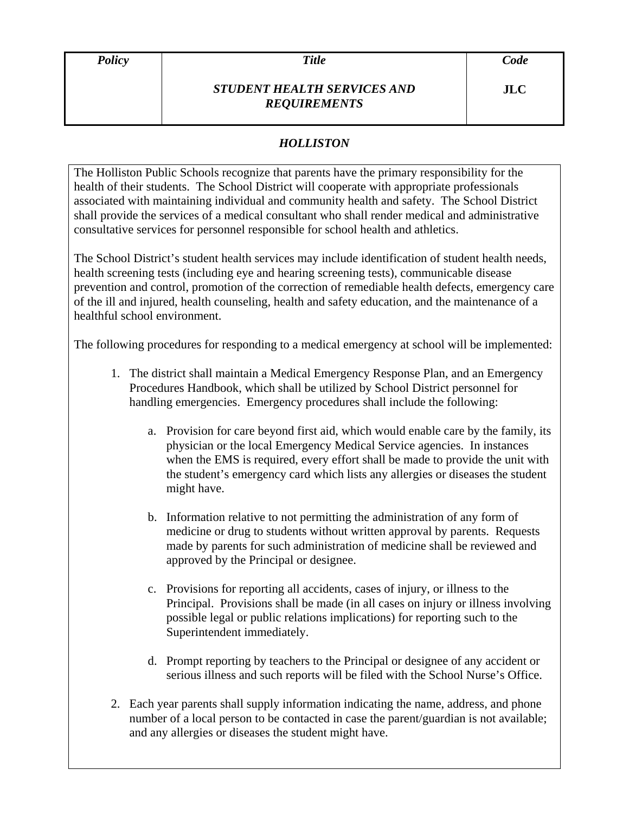*Policy Title* 

## *STUDENT HEALTH SERVICES AND REQUIREMENTS*

## *HOLLISTON*

The Holliston Public Schools recognize that parents have the primary responsibility for the health of their students. The School District will cooperate with appropriate professionals associated with maintaining individual and community health and safety. The School District shall provide the services of a medical consultant who shall render medical and administrative consultative services for personnel responsible for school health and athletics.

The School District's student health services may include identification of student health needs, health screening tests (including eye and hearing screening tests), communicable disease prevention and control, promotion of the correction of remediable health defects, emergency care of the ill and injured, health counseling, health and safety education, and the maintenance of a healthful school environment.

The following procedures for responding to a medical emergency at school will be implemented:

- 1. The district shall maintain a Medical Emergency Response Plan, and an Emergency Procedures Handbook, which shall be utilized by School District personnel for handling emergencies. Emergency procedures shall include the following:
	- a. Provision for care beyond first aid, which would enable care by the family, its physician or the local Emergency Medical Service agencies. In instances when the EMS is required, every effort shall be made to provide the unit with the student's emergency card which lists any allergies or diseases the student might have.
	- b. Information relative to not permitting the administration of any form of medicine or drug to students without written approval by parents. Requests made by parents for such administration of medicine shall be reviewed and approved by the Principal or designee.
	- c. Provisions for reporting all accidents, cases of injury, or illness to the Principal. Provisions shall be made (in all cases on injury or illness involving possible legal or public relations implications) for reporting such to the Superintendent immediately.
	- d. Prompt reporting by teachers to the Principal or designee of any accident or serious illness and such reports will be filed with the School Nurse's Office.
- 2. Each year parents shall supply information indicating the name, address, and phone number of a local person to be contacted in case the parent/guardian is not available; and any allergies or diseases the student might have.